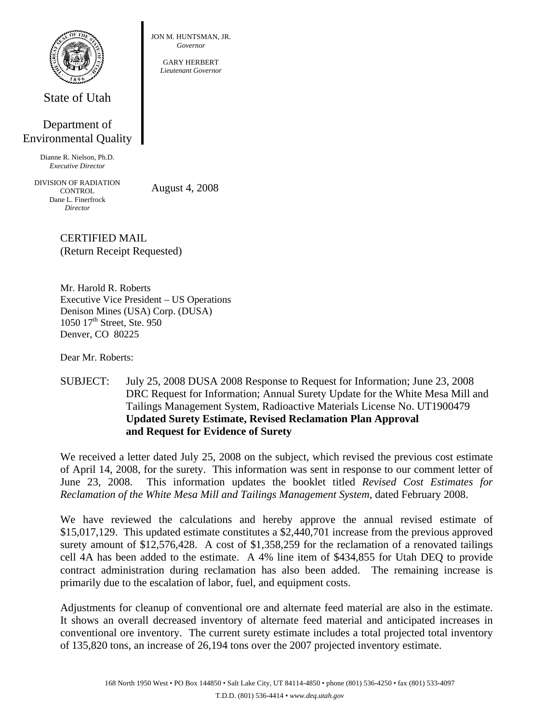

State of Utah

## Department of Environmental Quality

Dianne R. Nielson, Ph.D. *Executive Director* 

DIVISION OF RADIATION **CONTROL** Dane L. Finerfrock *Director* 

August 4, 2008

CERTIFIED MAIL (Return Receipt Requested)

Mr. Harold R. Roberts Executive Vice President – US Operations Denison Mines (USA) Corp. (DUSA) 1050 17<sup>th</sup> Street, Ste. 950 Denver, CO 80225

Dear Mr. Roberts:

SUBJECT: July 25, 2008 DUSA 2008 Response to Request for Information; June 23, 2008 DRC Request for Information; Annual Surety Update for the White Mesa Mill and Tailings Management System, Radioactive Materials License No. UT1900479 **Updated Surety Estimate, Revised Reclamation Plan Approval and Request for Evidence of Surety** 

We received a letter dated July 25, 2008 on the subject, which revised the previous cost estimate of April 14, 2008, for the surety. This information was sent in response to our comment letter of June 23, 2008. This information updates the booklet titled *Revised Cost Estimates for Reclamation of the White Mesa Mill and Tailings Management System*, dated February 2008.

We have reviewed the calculations and hereby approve the annual revised estimate of \$15,017,129. This updated estimate constitutes a \$2,440,701 increase from the previous approved surety amount of \$12,576,428. A cost of \$1,358,259 for the reclamation of a renovated tailings cell 4A has been added to the estimate. A 4% line item of \$434,855 for Utah DEQ to provide contract administration during reclamation has also been added. The remaining increase is primarily due to the escalation of labor, fuel, and equipment costs.

Adjustments for cleanup of conventional ore and alternate feed material are also in the estimate. It shows an overall decreased inventory of alternate feed material and anticipated increases in conventional ore inventory. The current surety estimate includes a total projected total inventory of 135,820 tons, an increase of 26,194 tons over the 2007 projected inventory estimate.

JON M. HUNTSMAN, JR. *Governor* 

GARY HERBERT *Lieutenant Governor*